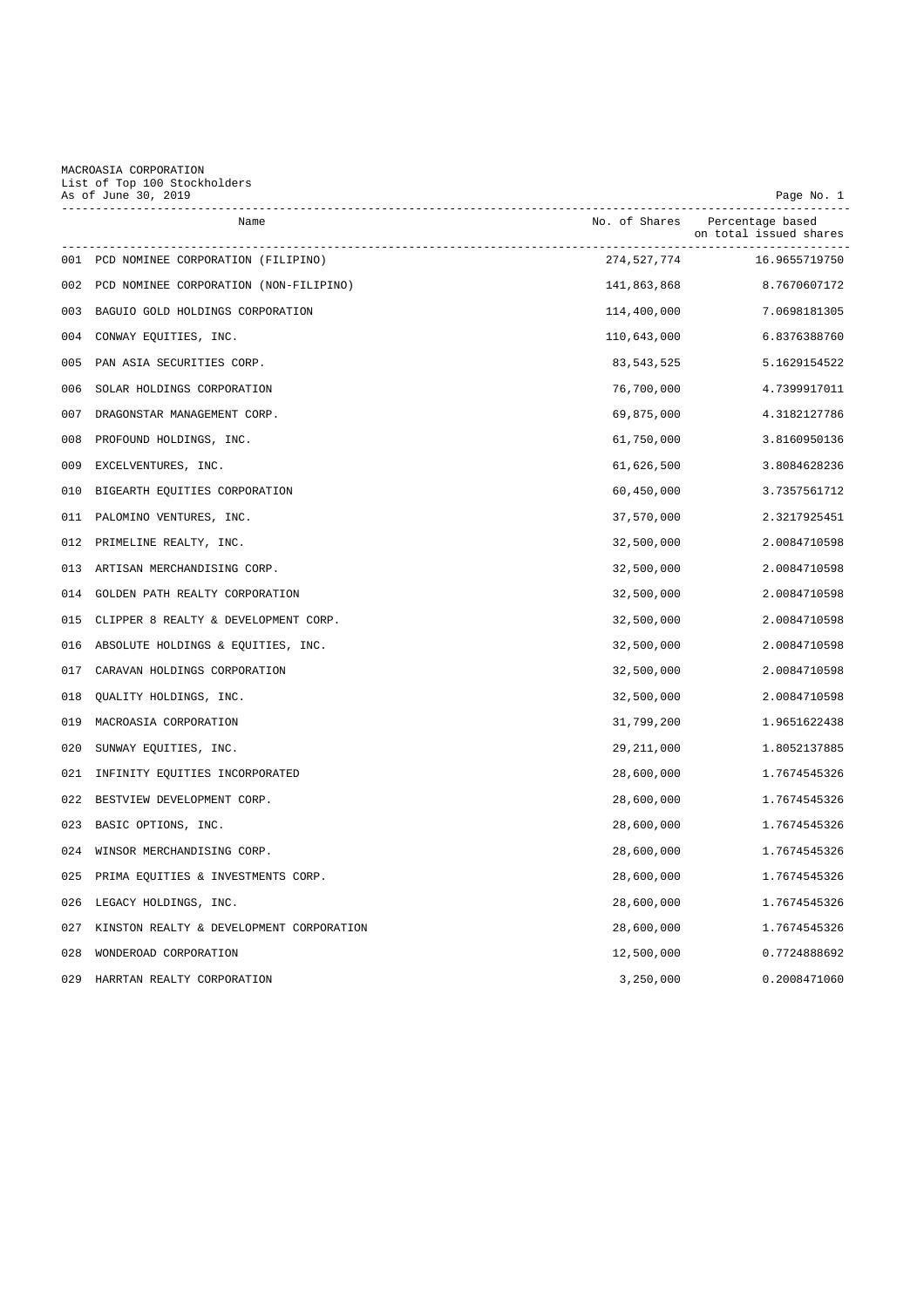MACROASIA CORPORATION List of Top 100 Stockholders

| As of June 30, 2019<br>---------------------- |                                          | Page No. 1    |                                            |
|-----------------------------------------------|------------------------------------------|---------------|--------------------------------------------|
|                                               | Name                                     | No. of Shares | Percentage based<br>on total issued shares |
|                                               | 001 PCD NOMINEE CORPORATION (FILIPINO)   | 274,527,774   | 16.9655719750                              |
| 002                                           | PCD NOMINEE CORPORATION (NON-FILIPINO)   | 141,863,868   | 8.7670607172                               |
| 003                                           | BAGUIO GOLD HOLDINGS CORPORATION         | 114,400,000   | 7.0698181305                               |
| 004                                           | CONWAY EQUITIES, INC.                    | 110,643,000   | 6.8376388760                               |
| 005                                           | PAN ASIA SECURITIES CORP.                | 83,543,525    | 5.1629154522                               |
| 006                                           | SOLAR HOLDINGS CORPORATION               | 76,700,000    | 4.7399917011                               |
| 007                                           | DRAGONSTAR MANAGEMENT CORP.              | 69,875,000    | 4.3182127786                               |
| 008                                           | PROFOUND HOLDINGS, INC.                  | 61,750,000    | 3.8160950136                               |
| 009                                           | EXCELVENTURES, INC.                      | 61,626,500    | 3.8084628236                               |
| 010                                           | BIGEARTH EQUITIES CORPORATION            | 60,450,000    | 3.7357561712                               |
| 011                                           | PALOMINO VENTURES, INC.                  | 37,570,000    | 2.3217925451                               |
| 012                                           | PRIMELINE REALTY, INC.                   | 32,500,000    | 2.0084710598                               |
| 013                                           | ARTISAN MERCHANDISING CORP.              | 32,500,000    | 2.0084710598                               |
| 014                                           | GOLDEN PATH REALTY CORPORATION           | 32,500,000    | 2.0084710598                               |
| 015                                           | CLIPPER 8 REALTY & DEVELOPMENT CORP.     | 32,500,000    | 2.0084710598                               |
| 016                                           | ABSOLUTE HOLDINGS & EQUITIES, INC.       | 32,500,000    | 2.0084710598                               |
| 017                                           | CARAVAN HOLDINGS CORPORATION             | 32,500,000    | 2.0084710598                               |
| 018                                           | QUALITY HOLDINGS, INC.                   | 32,500,000    | 2.0084710598                               |
| 019                                           | MACROASIA CORPORATION                    | 31,799,200    | 1.9651622438                               |
| 020                                           | SUNWAY EQUITIES, INC.                    | 29, 211, 000  | 1.8052137885                               |
| 021                                           | INFINITY EQUITIES INCORPORATED           | 28,600,000    | 1.7674545326                               |
| 022                                           | BESTVIEW DEVELOPMENT CORP.               | 28,600,000    | 1.7674545326                               |
| 023                                           | BASIC OPTIONS, INC.                      | 28,600,000    | 1.7674545326                               |
| 024                                           | WINSOR MERCHANDISING CORP.               | 28,600,000    | 1.7674545326                               |
| 025                                           | PRIMA EQUITIES & INVESTMENTS CORP.       | 28,600,000    | 1.7674545326                               |
| 026                                           | LEGACY HOLDINGS, INC.                    | 28,600,000    | 1.7674545326                               |
| 027                                           | KINSTON REALTY & DEVELOPMENT CORPORATION | 28,600,000    | 1.7674545326                               |
| 028                                           | WONDEROAD CORPORATION                    | 12,500,000    | 0.7724888692                               |
| 029                                           | HARRTAN REALTY CORPORATION               | 3,250,000     | 0.2008471060                               |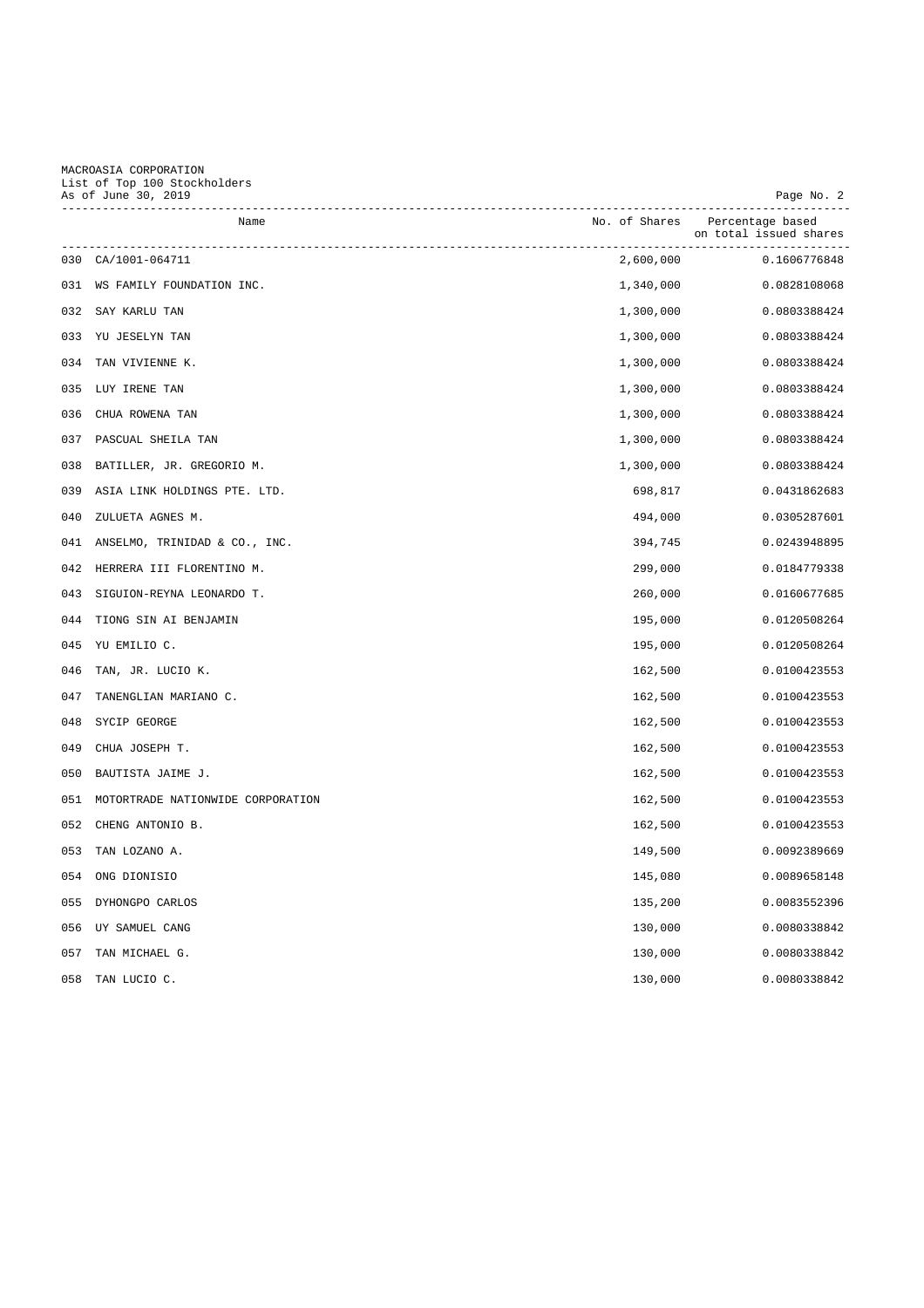## MACROASIA CORPORATION List of Top 100 Stockholders As of June 30, 2019 Page No. 2

|     | Name                              |           | No. of Shares Percentage based<br>on total issued shares |
|-----|-----------------------------------|-----------|----------------------------------------------------------|
|     | 030 CA/1001-064711                | 2,600,000 | 0.1606776848                                             |
|     | 031 WS FAMILY FOUNDATION INC.     | 1,340,000 | 0.0828108068                                             |
|     | 032 SAY KARLU TAN                 | 1,300,000 | 0.0803388424                                             |
|     | 033 YU JESELYN TAN                | 1,300,000 | 0.0803388424                                             |
| 034 | TAN VIVIENNE K.                   | 1,300,000 | 0.0803388424                                             |
|     | 035 LUY IRENE TAN                 | 1,300,000 | 0.0803388424                                             |
| 036 | CHUA ROWENA TAN                   | 1,300,000 | 0.0803388424                                             |
| 037 | PASCUAL SHEILA TAN                | 1,300,000 | 0.0803388424                                             |
| 038 | BATILLER, JR. GREGORIO M.         | 1,300,000 | 0.0803388424                                             |
| 039 | ASIA LINK HOLDINGS PTE. LTD.      | 698,817   | 0.0431862683                                             |
| 040 | ZULUETA AGNES M.                  | 494,000   | 0.0305287601                                             |
| 041 | ANSELMO, TRINIDAD & CO., INC.     | 394,745   | 0.0243948895                                             |
| 042 | HERRERA III FLORENTINO M.         | 299,000   | 0.0184779338                                             |
| 043 | SIGUION-REYNA LEONARDO T.         | 260,000   | 0.0160677685                                             |
| 044 | TIONG SIN AI BENJAMIN             | 195,000   | 0.0120508264                                             |
| 045 | YU EMILIO C.                      | 195,000   | 0.0120508264                                             |
| 046 | TAN, JR. LUCIO K.                 | 162,500   | 0.0100423553                                             |
| 047 | TANENGLIAN MARIANO C.             | 162,500   | 0.0100423553                                             |
| 048 | SYCIP GEORGE                      | 162,500   | 0.0100423553                                             |
| 049 | CHUA JOSEPH T.                    | 162,500   | 0.0100423553                                             |
| 050 | BAUTISTA JAIME J.                 | 162,500   | 0.0100423553                                             |
| 051 | MOTORTRADE NATIONWIDE CORPORATION | 162,500   | 0.0100423553                                             |
| 052 | CHENG ANTONIO B.                  | 162,500   | 0.0100423553                                             |
| 053 | TAN LOZANO A.                     | 149,500   | 0.0092389669                                             |
| 054 | ONG DIONISIO                      | 145,080   | 0.0089658148                                             |
| 055 | DYHONGPO CARLOS                   | 135,200   | 0.0083552396                                             |
| 056 | UY SAMUEL CANG                    | 130,000   | 0.0080338842                                             |
| 057 | TAN MICHAEL G.                    | 130,000   | 0.0080338842                                             |
|     | 058 TAN LUCIO C.                  | 130,000   | 0.0080338842                                             |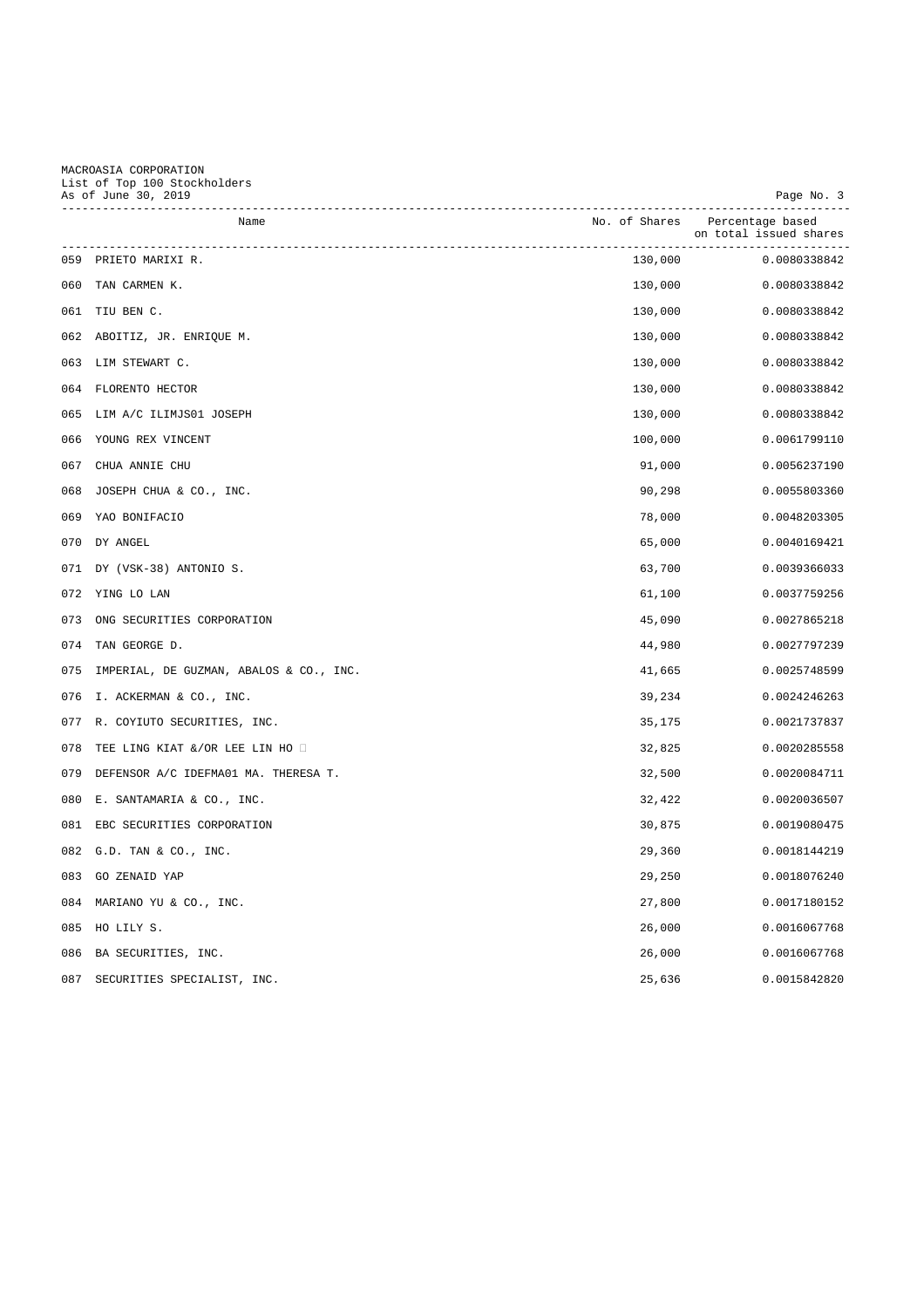## MACROASIA CORPORATION List of Top 100 Stockholders As of June 30, 2019 Page No. 3

|     | Name                                    |         | No. of Shares Percentage based |
|-----|-----------------------------------------|---------|--------------------------------|
|     |                                         |         | on total issued shares         |
|     | 059 PRIETO MARIXI R.                    | 130,000 | 0.0080338842                   |
|     | 060 TAN CARMEN K.                       | 130,000 | 0.0080338842                   |
|     | 061 TIU BEN C.                          | 130,000 | 0.0080338842                   |
|     | 062 ABOITIZ, JR. ENRIQUE M.             | 130,000 | 0.0080338842                   |
|     | 063 LIM STEWART C.                      | 130,000 | 0.0080338842                   |
|     | 064 FLORENTO HECTOR                     | 130,000 | 0.0080338842                   |
|     | 065 LIM A/C ILIMJS01 JOSEPH             | 130,000 | 0.0080338842                   |
| 066 | YOUNG REX VINCENT                       | 100,000 | 0.0061799110                   |
| 067 | CHUA ANNIE CHU                          | 91,000  | 0.0056237190                   |
| 068 | JOSEPH CHUA & CO., INC.                 | 90,298  | 0.0055803360                   |
| 069 | YAO BONIFACIO                           | 78,000  | 0.0048203305                   |
|     | 070 DY ANGEL                            | 65,000  | 0.0040169421                   |
|     | 071 DY (VSK-38) ANTONIO S.              | 63,700  | 0.0039366033                   |
|     | 072 YING LO LAN                         | 61,100  | 0.0037759256                   |
|     | 073 ONG SECURITIES CORPORATION          | 45,090  | 0.0027865218                   |
|     | 074 TAN GEORGE D.                       | 44,980  | 0.0027797239                   |
| 075 | IMPERIAL, DE GUZMAN, ABALOS & CO., INC. | 41,665  | 0.0025748599                   |
| 076 | I. ACKERMAN & CO., INC.                 | 39,234  | 0.0024246263                   |
|     | 077 R. COYIUTO SECURITIES, INC.         | 35,175  | 0.0021737837                   |
| 078 | TEE LING KIAT &/OR LEE LIN HO           | 32,825  | 0.0020285558                   |
| 079 | DEFENSOR A/C IDEFMA01 MA. THERESA T.    | 32,500  | 0.0020084711                   |
| 080 | E. SANTAMARIA & CO., INC.               | 32,422  | 0.0020036507                   |
|     | 081 EBC SECURITIES CORPORATION          | 30,875  | 0.0019080475                   |
|     | 082 G.D. TAN & CO., INC.                | 29,360  | 0.0018144219                   |
|     | 083 GO ZENAID YAP                       | 29,250  | 0.0018076240                   |
|     | 084 MARIANO YU & CO., INC.              | 27,800  | 0.0017180152                   |
|     | 085 HO LILY S.                          | 26,000  | 0.0016067768                   |
| 086 | BA SECURITIES, INC.                     | 26,000  | 0.0016067768                   |
|     | 087 SECURITIES SPECIALIST, INC.         | 25,636  | 0.0015842820                   |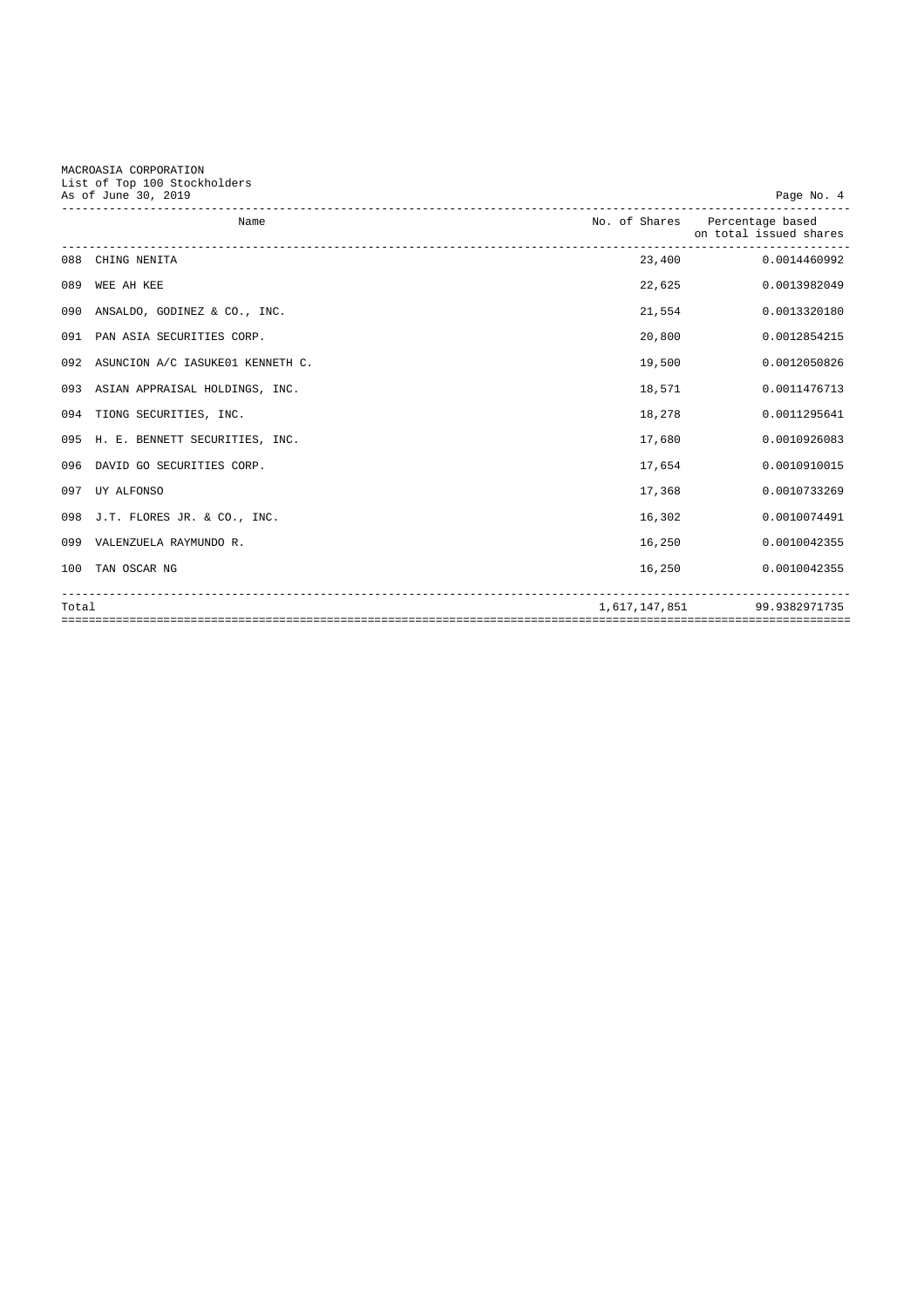MACROASIA CORPORATION List of Top 100 Stockholders

|       | As of June 30, 2019                  |        | Page No. 4                                               |
|-------|--------------------------------------|--------|----------------------------------------------------------|
|       | Name                                 |        | No. of Shares Percentage based<br>on total issued shares |
|       | 088 CHING NENITA                     |        | 23,400<br>0.0014460992                                   |
| 089   | WEE AH KEE                           | 22,625 | 0.0013982049                                             |
| 090   | ANSALDO, GODINEZ & CO., INC.         | 21,554 | 0.0013320180                                             |
| 091   | PAN ASIA SECURITIES CORP.            | 20,800 | 0.0012854215                                             |
|       | 092 ASUNCION A/C IASUKE01 KENNETH C. | 19,500 | 0.0012050826                                             |
|       | 093 ASIAN APPRAISAL HOLDINGS, INC.   | 18,571 | 0.0011476713                                             |
|       | 094 TIONG SECURITIES, INC.           | 18,278 | 0.0011295641                                             |
|       | 095 H. E. BENNETT SECURITIES, INC.   | 17,680 | 0.0010926083                                             |
|       | 096 DAVID GO SECURITIES CORP.        | 17,654 | 0.0010910015                                             |
|       | 097 UY ALFONSO                       | 17,368 | 0.0010733269                                             |
|       | 098 J.T. FLORES JR. & CO., INC.      | 16,302 | 0.0010074491                                             |
|       | 099 VALENZUELA RAYMUNDO R.           | 16,250 | 0.0010042355                                             |
|       | 100 TAN OSCAR NG                     | 16,250 | 0.0010042355                                             |
| Total |                                      |        | 1,617,147,851 99.9382971735                              |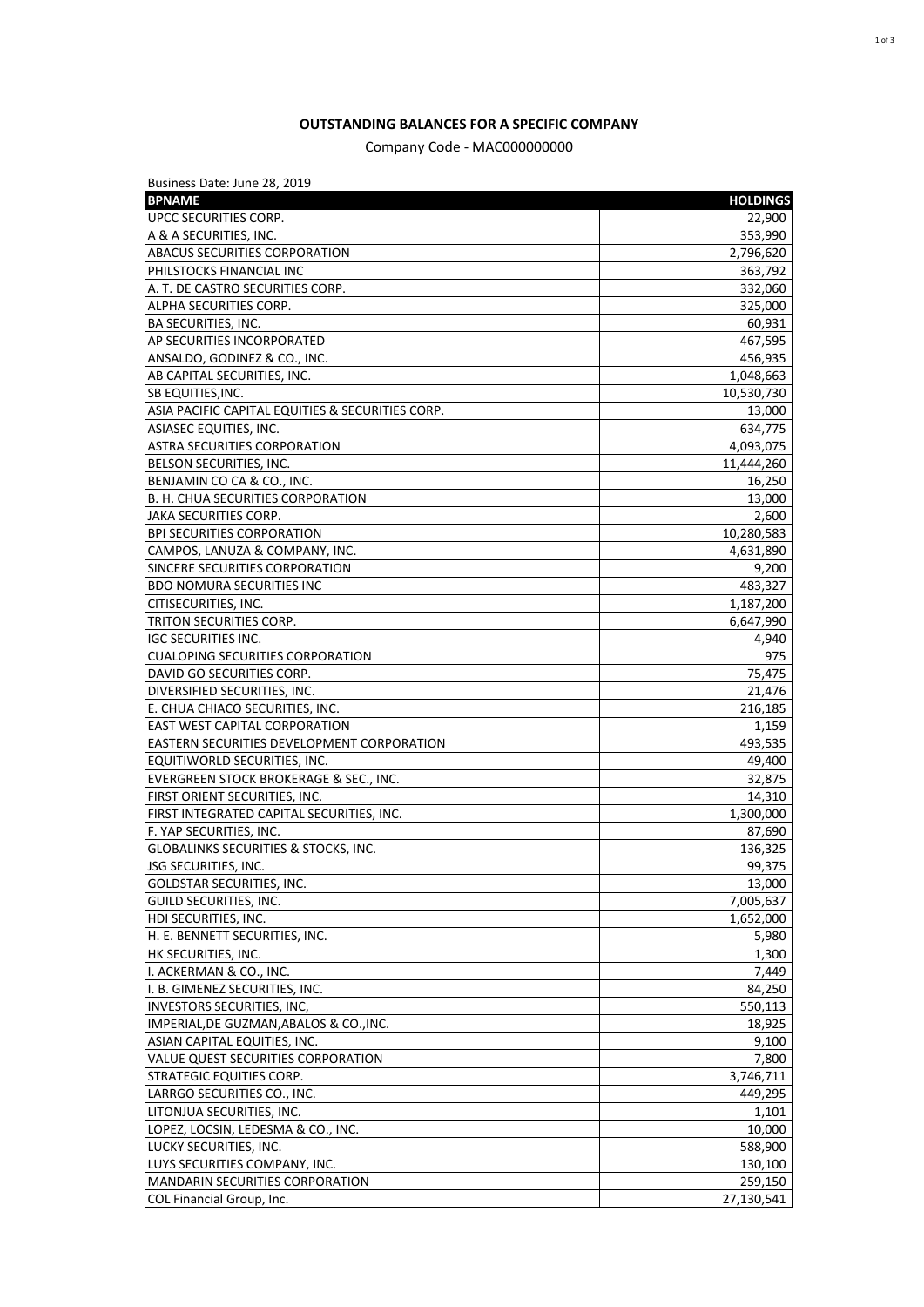## **OUTSTANDING BALANCES FOR A SPECIFIC COMPANY**

Company Code - MAC000000000

| Business Date: June 28, 2019                            |                 |
|---------------------------------------------------------|-----------------|
| <b>BPNAME</b>                                           | <b>HOLDINGS</b> |
| UPCC SECURITIES CORP.                                   | 22,900          |
| A & A SECURITIES, INC.                                  | 353,990         |
| ABACUS SECURITIES CORPORATION                           | 2,796,620       |
| PHILSTOCKS FINANCIAL INC                                | 363,792         |
| A. T. DE CASTRO SECURITIES CORP.                        | 332,060         |
| ALPHA SECURITIES CORP.                                  | 325,000         |
| <b>BA SECURITIES, INC.</b>                              | 60,931          |
| AP SECURITIES INCORPORATED                              | 467,595         |
| ANSALDO, GODINEZ & CO., INC.                            | 456,935         |
| AB CAPITAL SECURITIES, INC.                             | 1,048,663       |
| <b>SB EQUITIES, INC.</b>                                | 10,530,730      |
| ASIA PACIFIC CAPITAL EQUITIES & SECURITIES CORP.        | 13,000          |
| ASIASEC EQUITIES, INC.                                  | 634,775         |
|                                                         |                 |
| ASTRA SECURITIES CORPORATION<br>BELSON SECURITIES, INC. | 4,093,075       |
|                                                         | 11,444,260      |
| BENJAMIN CO CA & CO., INC.                              | 16,250          |
| B. H. CHUA SECURITIES CORPORATION                       | 13,000          |
| <b>JAKA SECURITIES CORP.</b>                            | 2,600           |
| <b>BPI SECURITIES CORPORATION</b>                       | 10,280,583      |
| CAMPOS, LANUZA & COMPANY, INC.                          | 4,631,890       |
| SINCERE SECURITIES CORPORATION                          | 9,200           |
| <b>BDO NOMURA SECURITIES INC</b>                        | 483,327         |
| CITISECURITIES, INC.                                    | 1,187,200       |
| TRITON SECURITIES CORP.                                 | 6,647,990       |
| <b>IGC SECURITIES INC.</b>                              | 4,940           |
| <b>CUALOPING SECURITIES CORPORATION</b>                 | 975             |
| DAVID GO SECURITIES CORP.                               | 75,475          |
| DIVERSIFIED SECURITIES, INC.                            | 21,476          |
| E. CHUA CHIACO SECURITIES, INC.                         | 216,185         |
| <b>EAST WEST CAPITAL CORPORATION</b>                    | 1,159           |
| <b>EASTERN SECURITIES DEVELOPMENT CORPORATION</b>       | 493,535         |
| EQUITIWORLD SECURITIES, INC.                            | 49,400          |
| EVERGREEN STOCK BROKERAGE & SEC., INC.                  | 32,875          |
| <b>FIRST ORIENT SECURITIES, INC.</b>                    | 14,310          |
| FIRST INTEGRATED CAPITAL SECURITIES, INC.               | 1,300,000       |
| F. YAP SECURITIES, INC.                                 | 87,690          |
| <b>GLOBALINKS SECURITIES &amp; STOCKS, INC.</b>         | 136,325         |
| <b>JSG SECURITIES, INC.</b>                             | 99,375          |
| GOLDSTAR SECURITIES, INC.                               | 13,000          |
| GUILD SECURITIES, INC.                                  | 7,005,637       |
| <b>HDI SECURITIES, INC.</b>                             | 1,652,000       |
| H. E. BENNETT SECURITIES, INC.                          | 5,980           |
| HK SECURITIES, INC.                                     | 1,300           |
| I. ACKERMAN & CO., INC.                                 | 7,449           |
| I. B. GIMENEZ SECURITIES, INC.                          | 84,250          |
| INVESTORS SECURITIES, INC,                              | 550,113         |
| IMPERIAL, DE GUZMAN, ABALOS & CO., INC.                 | 18,925          |
| ASIAN CAPITAL EQUITIES, INC.                            | 9,100           |
| <b>VALUE QUEST SECURITIES CORPORATION</b>               | 7,800           |
| STRATEGIC EQUITIES CORP.                                | 3,746,711       |
| LARRGO SECURITIES CO., INC.                             | 449,295         |
| LITONJUA SECURITIES, INC.                               | 1,101           |
| LOPEZ, LOCSIN, LEDESMA & CO., INC.                      | 10,000          |
| LUCKY SECURITIES, INC.                                  | 588,900         |
| LUYS SECURITIES COMPANY, INC.                           | 130,100         |
| MANDARIN SECURITIES CORPORATION                         | 259,150         |
| COL Financial Group, Inc.                               | 27,130,541      |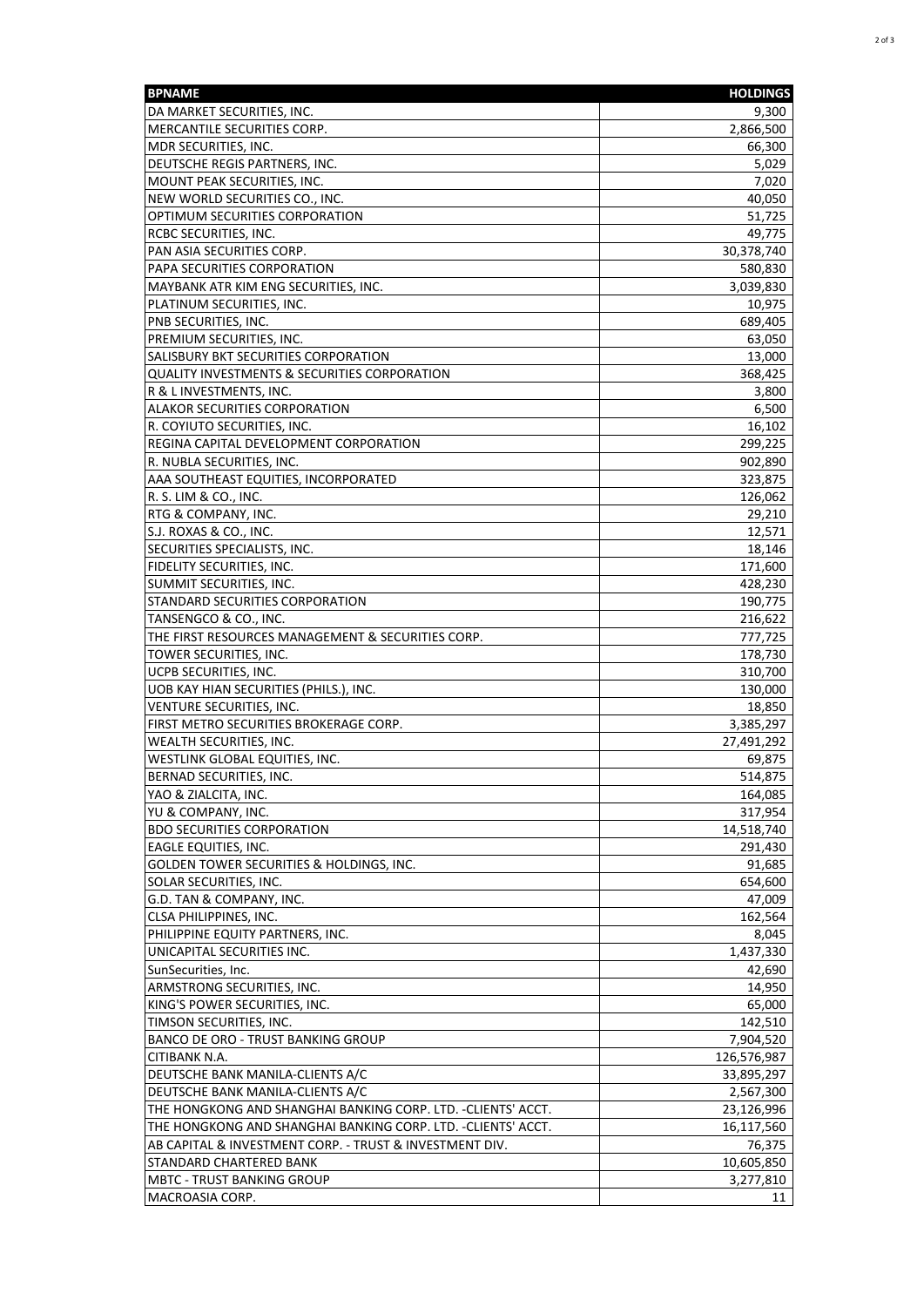| <b>BPNAME</b>                                                           | <b>HOLDINGS</b>  |
|-------------------------------------------------------------------------|------------------|
| DA MARKET SECURITIES, INC.                                              | 9,300            |
| MERCANTILE SECURITIES CORP.                                             | 2,866,500        |
| MDR SECURITIES, INC.                                                    | 66,300           |
| DEUTSCHE REGIS PARTNERS, INC.                                           | 5,029            |
| MOUNT PEAK SECURITIES, INC.                                             | 7,020            |
| NEW WORLD SECURITIES CO., INC.                                          | 40,050           |
| OPTIMUM SECURITIES CORPORATION                                          | 51,725           |
| RCBC SECURITIES, INC.                                                   | 49,775           |
| PAN ASIA SECURITIES CORP.                                               | 30,378,740       |
| PAPA SECURITIES CORPORATION                                             | 580,830          |
| MAYBANK ATR KIM ENG SECURITIES, INC.                                    | 3,039,830        |
| PLATINUM SECURITIES, INC.                                               | 10,975           |
| <b>PNB SECURITIES, INC.</b>                                             | 689,405          |
| PREMIUM SECURITIES, INC.                                                | 63,050           |
| SALISBURY BKT SECURITIES CORPORATION                                    | 13,000           |
| QUALITY INVESTMENTS & SECURITIES CORPORATION<br>R & L INVESTMENTS, INC. | 368,425          |
| ALAKOR SECURITIES CORPORATION                                           | 3,800<br>6,500   |
| R. COYIUTO SECURITIES, INC.                                             | 16,102           |
| REGINA CAPITAL DEVELOPMENT CORPORATION                                  | 299,225          |
| R. NUBLA SECURITIES, INC.                                               | 902,890          |
| AAA SOUTHEAST EQUITIES, INCORPORATED                                    | 323,875          |
| R. S. LIM & CO., INC.                                                   | 126,062          |
| RTG & COMPANY, INC.                                                     | 29,210           |
| S.J. ROXAS & CO., INC.                                                  | 12,571           |
| SECURITIES SPECIALISTS, INC.                                            | 18,146           |
| <b>FIDELITY SECURITIES, INC.</b>                                        | 171,600          |
| SUMMIT SECURITIES, INC.                                                 | 428,230          |
| STANDARD SECURITIES CORPORATION                                         | 190,775          |
| TANSENGCO & CO., INC.                                                   | 216,622          |
| THE FIRST RESOURCES MANAGEMENT & SECURITIES CORP.                       | 777,725          |
| TOWER SECURITIES, INC.                                                  | 178,730          |
| UCPB SECURITIES, INC.                                                   | 310,700          |
| UOB KAY HIAN SECURITIES (PHILS.), INC.                                  | 130,000          |
| VENTURE SECURITIES, INC.                                                | 18,850           |
| FIRST METRO SECURITIES BROKERAGE CORP.                                  | 3,385,297        |
| WEALTH SECURITIES, INC.                                                 | 27,491,292       |
| WESTLINK GLOBAL EQUITIES, INC.                                          | 69,875           |
| BERNAD SECURITIES, INC.                                                 | 514,875          |
| YAO & ZIALCITA, INC.                                                    | 164,085          |
| YU & COMPANY, INC.                                                      | 317,954          |
| <b>BDO SECURITIES CORPORATION</b>                                       | 14,518,740       |
| <b>EAGLE EQUITIES, INC.</b>                                             | 291,430          |
| <b>GOLDEN TOWER SECURITIES &amp; HOLDINGS, INC.</b>                     | 91,685           |
| SOLAR SECURITIES, INC.                                                  | 654,600          |
| G.D. TAN & COMPANY, INC.<br><b>CLSA PHILIPPINES, INC.</b>               | 47,009           |
| PHILIPPINE EQUITY PARTNERS, INC.                                        | 162,564<br>8,045 |
| UNICAPITAL SECURITIES INC.                                              | 1,437,330        |
| SunSecurities, Inc.                                                     | 42,690           |
| ARMSTRONG SECURITIES, INC.                                              | 14,950           |
| KING'S POWER SECURITIES, INC.                                           | 65,000           |
| TIMSON SECURITIES, INC.                                                 | 142,510          |
| BANCO DE ORO - TRUST BANKING GROUP                                      | 7,904,520        |
| CITIBANK N.A.                                                           | 126,576,987      |
| DEUTSCHE BANK MANILA-CLIENTS A/C                                        | 33,895,297       |
| DEUTSCHE BANK MANILA-CLIENTS A/C                                        | 2,567,300        |
| THE HONGKONG AND SHANGHAI BANKING CORP. LTD. -CLIENTS' ACCT.            | 23,126,996       |
| THE HONGKONG AND SHANGHAI BANKING CORP. LTD. - CLIENTS' ACCT.           | 16,117,560       |
| AB CAPITAL & INVESTMENT CORP. - TRUST & INVESTMENT DIV.                 | 76,375           |
| STANDARD CHARTERED BANK                                                 | 10,605,850       |
| <b>MBTC - TRUST BANKING GROUP</b>                                       | 3,277,810        |
| MACROASIA CORP.                                                         | 11               |